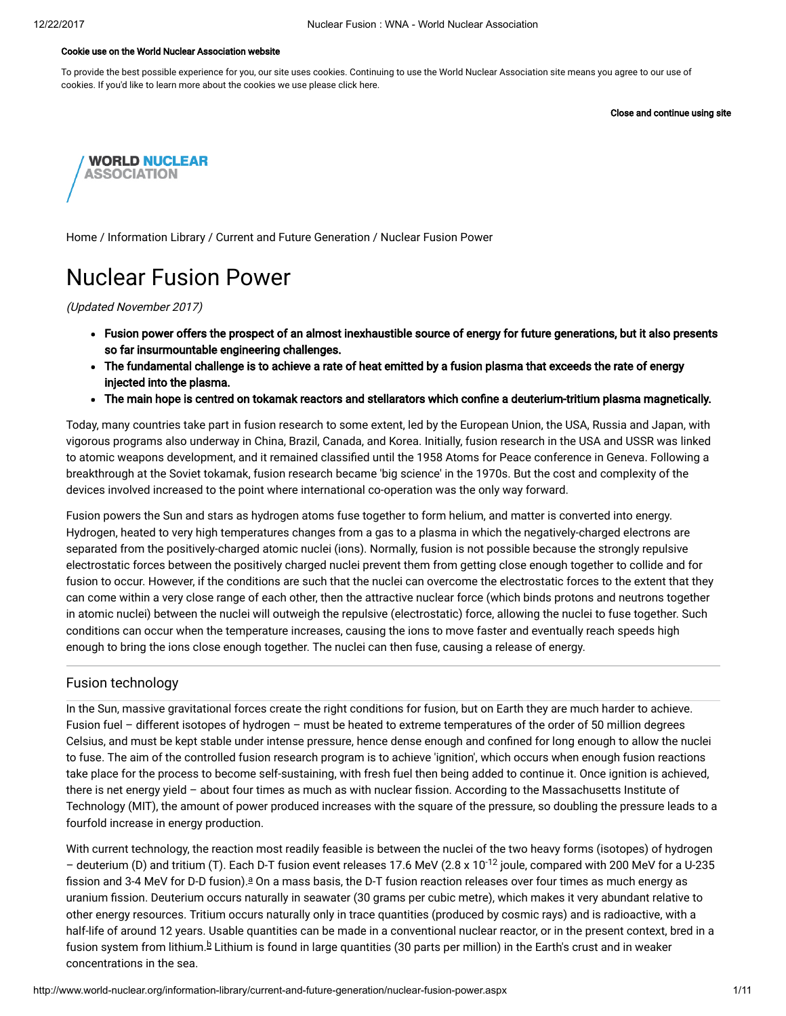#### Cookie use on the World Nuclear Association website

To provide the best possible experience for you, our site uses cookies. Continuing to use the World Nuclear Association site means you agree to our use of cookies. If you'd like to learn more about the cookies we use please click here.

Close and continue using site



[Home](http://www.world-nuclear.org/) / [Information](http://www.world-nuclear.org/information-library.aspx) Library / Current and Future [Generation](http://www.world-nuclear.org/information-library/current-and-future-generation.aspx) / Nuclear Fusion Power

# Nuclear Fusion Power

(Updated November 2017)

- Fusion power offers the prospect of an almost inexhaustible source of energy for future generations, but it also presents so far insurmountable engineering challenges.
- The fundamental challenge is to achieve a rate of heat emitted by a fusion plasma that exceeds the rate of energy injected into the plasma.
- The main hope is centred on tokamak reactors and stellarators which confine a deuterium-tritium plasma magnetically.

Today, many countries take part in fusion research to some extent, led by the European Union, the USA, Russia and Japan, with vigorous programs also underway in China, Brazil, Canada, and Korea. Initially, fusion research in the USA and USSR was linked to atomic weapons development, and it remained classified until the 1958 Atoms for Peace conference in Geneva. Following a breakthrough at the Soviet tokamak, fusion research became 'big science' in the 1970s. But the cost and complexity of the devices involved increased to the point where international co-operation was the only way forward.

Fusion powers the Sun and stars as hydrogen atoms fuse together to form helium, and matter is converted into energy. Hydrogen, heated to very high temperatures changes from a gas to a plasma in which the negatively-charged electrons are separated from the positively-charged atomic nuclei (ions). Normally, fusion is not possible because the strongly repulsive electrostatic forces between the positively charged nuclei prevent them from getting close enough together to collide and for fusion to occur. However, if the conditions are such that the nuclei can overcome the electrostatic forces to the extent that they can come within a very close range of each other, then the attractive nuclear force (which binds protons and neutrons together in atomic nuclei) between the nuclei will outweigh the repulsive (electrostatic) force, allowing the nuclei to fuse together. Such conditions can occur when the temperature increases, causing the ions to move faster and eventually reach speeds high enough to bring the ions close enough together. The nuclei can then fuse, causing a release of energy.

# Fusion technology

In the Sun, massive gravitational forces create the right conditions for fusion, but on Earth they are much harder to achieve. Fusion fuel – different isotopes of hydrogen – must be heated to extreme temperatures of the order of 50 million degrees Celsius, and must be kept stable under intense pressure, hence dense enough and confined for long enough to allow the nuclei to fuse. The aim of the controlled fusion research program is to achieve 'ignition', which occurs when enough fusion reactions take place for the process to become self-sustaining, with fresh fuel then being added to continue it. Once ignition is achieved, there is net energy yield - about four times as much as with nuclear fission. According to the Massachusetts Institute of Technology (MIT), the amount of power produced increases with the square of the pressure, so doubling the pressure leads to a fourfold increase in energy production.

<span id="page-0-1"></span><span id="page-0-0"></span>With current technology, the reaction most readily feasible is between the nuclei of the two heavy forms (isotopes) of hydrogen – deuterium (D) and tritium (T). Each D-T fusion event releases 17.6 MeV (2.8 x 10<sup>-12</sup> joule, compared with 200 MeV for a U-235 fission [a](#page-8-0)nd 3-4 MeV for D-D fusion). $a$  On a mass basis, the D-T fusion reaction releases over four times as much energy as uranium fission. Deuterium occurs naturally in seawater (30 grams per cubic metre), which makes it very abundant relative to other energy resources. Tritium occurs naturally only in trace quantities (produced by cosmic rays) and is radioactive, with a half-life of around 12 years. Usable quantities can be made in a conventional nuclear reactor, or in the present context, bred in a fusion system from lithium.<sup>[b](#page-8-0)</sup> Lithium is found in large quantities (30 parts per million) in the Earth's crust and in weaker concentrations in the sea.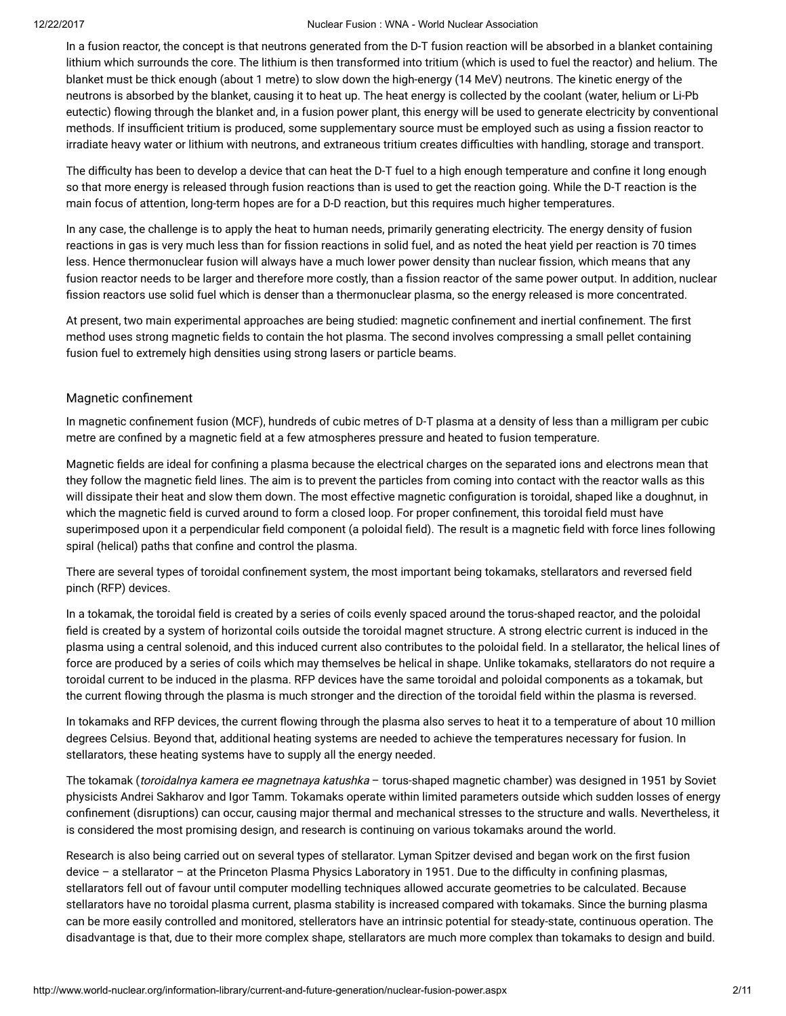In a fusion reactor, the concept is that neutrons generated from the D-T fusion reaction will be absorbed in a blanket containing lithium which surrounds the core. The lithium is then transformed into tritium (which is used to fuel the reactor) and helium. The blanket must be thick enough (about 1 metre) to slow down the high-energy (14 MeV) neutrons. The kinetic energy of the neutrons is absorbed by the blanket, causing it to heat up. The heat energy is collected by the coolant (water, helium or Li-Pb eutectic) flowing through the blanket and, in a fusion power plant, this energy will be used to generate electricity by conventional methods. If insufficient tritium is produced, some supplementary source must be employed such as using a fission reactor to irradiate heavy water or lithium with neutrons, and extraneous tritium creates difficulties with handling, storage and transport.

The difficulty has been to develop a device that can heat the D-T fuel to a high enough temperature and confine it long enough so that more energy is released through fusion reactions than is used to get the reaction going. While the D-T reaction is the main focus of attention, long-term hopes are for a D-D reaction, but this requires much higher temperatures.

In any case, the challenge is to apply the heat to human needs, primarily generating electricity. The energy density of fusion reactions in gas is very much less than for fission reactions in solid fuel, and as noted the heat yield per reaction is 70 times less. Hence thermonuclear fusion will always have a much lower power density than nuclear fission, which means that any fusion reactor needs to be larger and therefore more costly, than a fission reactor of the same power output. In addition, nuclear fission reactors use solid fuel which is denser than a thermonuclear plasma, so the energy released is more concentrated.

At present, two main experimental approaches are being studied: magnetic confinement and inertial confinement. The first method uses strong magnetic fields to contain the hot plasma. The second involves compressing a small pellet containing fusion fuel to extremely high densities using strong lasers or particle beams.

# Magnetic confinement

In magnetic confinement fusion (MCF), hundreds of cubic metres of D-T plasma at a density of less than a milligram per cubic metre are confined by a magnetic field at a few atmospheres pressure and heated to fusion temperature.

Magnetic fields are ideal for confining a plasma because the electrical charges on the separated ions and electrons mean that they follow the magnetic field lines. The aim is to prevent the particles from coming into contact with the reactor walls as this will dissipate their heat and slow them down. The most effective magnetic configuration is toroidal, shaped like a doughnut, in which the magnetic field is curved around to form a closed loop. For proper confinement, this toroidal field must have superimposed upon it a perpendicular field component (a poloidal field). The result is a magnetic field with force lines following spiral (helical) paths that confine and control the plasma.

There are several types of toroidal confinement system, the most important being tokamaks, stellarators and reversed field pinch (RFP) devices.

In a tokamak, the toroidal field is created by a series of coils evenly spaced around the torus-shaped reactor, and the poloidal field is created by a system of horizontal coils outside the toroidal magnet structure. A strong electric current is induced in the plasma using a central solenoid, and this induced current also contributes to the poloidal field. In a stellarator, the helical lines of force are produced by a series of coils which may themselves be helical in shape. Unlike tokamaks, stellarators do not require a toroidal current to be induced in the plasma. RFP devices have the same toroidal and poloidal components as a tokamak, but the current flowing through the plasma is much stronger and the direction of the toroidal field within the plasma is reversed.

In tokamaks and RFP devices, the current flowing through the plasma also serves to heat it to a temperature of about 10 million degrees Celsius. Beyond that, additional heating systems are needed to achieve the temperatures necessary for fusion. In stellarators, these heating systems have to supply all the energy needed.

The tokamak (toroidalnya kamera ee magnetnaya katushka - torus-shaped magnetic chamber) was designed in 1951 by Soviet physicists Andrei Sakharov and Igor Tamm. Tokamaks operate within limited parameters outside which sudden losses of energy confinement (disruptions) can occur, causing major thermal and mechanical stresses to the structure and walls. Nevertheless, it is considered the most promising design, and research is continuing on various tokamaks around the world.

Research is also being carried out on several types of stellarator. Lyman Spitzer devised and began work on the first fusion device – a stellarator – at the Princeton Plasma Physics Laboratory in 1951. Due to the difficulty in confining plasmas, stellarators fell out of favour until computer modelling techniques allowed accurate geometries to be calculated. Because stellarators have no toroidal plasma current, plasma stability is increased compared with tokamaks. Since the burning plasma can be more easily controlled and monitored, stellerators have an intrinsic potential for steady-state, continuous operation. The disadvantage is that, due to their more complex shape, stellarators are much more complex than tokamaks to design and build.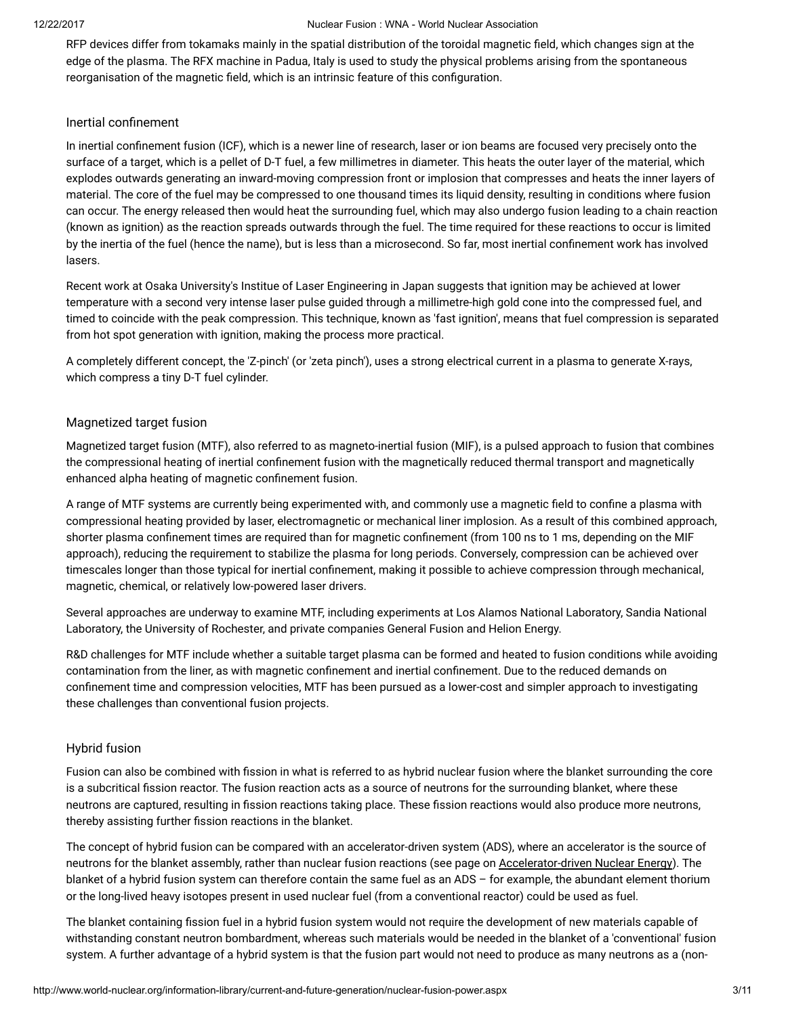RFP devices differ from tokamaks mainly in the spatial distribution of the toroidal magnetic field, which changes sign at the edge of the plasma. The RFX machine in Padua, Italy is used to study the physical problems arising from the spontaneous reorganisation of the magnetic field, which is an intrinsic feature of this configuration.

#### Inertial confinement

In inertial confinement fusion (ICF), which is a newer line of research, laser or ion beams are focused very precisely onto the surface of a target, which is a pellet of D-T fuel, a few millimetres in diameter. This heats the outer layer of the material, which explodes outwards generating an inward-moving compression front or implosion that compresses and heats the inner layers of material. The core of the fuel may be compressed to one thousand times its liquid density, resulting in conditions where fusion can occur. The energy released then would heat the surrounding fuel, which may also undergo fusion leading to a chain reaction (known as ignition) as the reaction spreads outwards through the fuel. The time required for these reactions to occur is limited by the inertia of the fuel (hence the name), but is less than a microsecond. So far, most inertial confinement work has involved lasers.

Recent work at Osaka University's Institue of Laser Engineering in Japan suggests that ignition may be achieved at lower temperature with a second very intense laser pulse guided through a millimetre-high gold cone into the compressed fuel, and timed to coincide with the peak compression. This technique, known as 'fast ignition', means that fuel compression is separated from hot spot generation with ignition, making the process more practical.

A completely different concept, the 'Z-pinch' (or 'zeta pinch'), uses a strong electrical current in a plasma to generate X-rays, which compress a tiny D-T fuel cylinder.

#### Magnetized target fusion

Magnetized target fusion (MTF), also referred to as magneto-inertial fusion (MIF), is a pulsed approach to fusion that combines the compressional heating of inertial confinement fusion with the magnetically reduced thermal transport and magnetically enhanced alpha heating of magnetic confinement fusion.

A range of MTF systems are currently being experimented with, and commonly use a magnetic field to confine a plasma with compressional heating provided by laser, electromagnetic or mechanical liner implosion. As a result of this combined approach, shorter plasma confinement times are required than for magnetic confinement (from 100 ns to 1 ms, depending on the MIF approach), reducing the requirement to stabilize the plasma for long periods. Conversely, compression can be achieved over timescales longer than those typical for inertial confinement, making it possible to achieve compression through mechanical, magnetic, chemical, or relatively low-powered laser drivers.

Several approaches are underway to examine MTF, including experiments at Los Alamos National Laboratory, Sandia National Laboratory, the University of Rochester, and private companies General Fusion and Helion Energy.

R&D challenges for MTF include whether a suitable target plasma can be formed and heated to fusion conditions while avoiding contamination from the liner, as with magnetic confinement and inertial confinement. Due to the reduced demands on confinement time and compression velocities, MTF has been pursued as a lower-cost and simpler approach to investigating these challenges than conventional fusion projects.

# Hybrid fusion

Fusion can also be combined with fission in what is referred to as hybrid nuclear fusion where the blanket surrounding the core is a subcritical fission reactor. The fusion reaction acts as a source of neutrons for the surrounding blanket, where these neutrons are captured, resulting in fission reactions taking place. These fission reactions would also produce more neutrons, thereby assisting further fission reactions in the blanket.

The concept of hybrid fusion can be compared with an accelerator-driven system (ADS), where an accelerator is the source of neutrons for the blanket assembly, rather than nuclear fusion reactions (see page on [Accelerator-driven](http://www.world-nuclear.org/information-library/current-and-future-generation/accelerator-driven-nuclear-energy.aspx) Nuclear Energy). The blanket of a hybrid fusion system can therefore contain the same fuel as an ADS – for example, the abundant element thorium or the long-lived heavy isotopes present in used nuclear fuel (from a conventional reactor) could be used as fuel.

The blanket containing fission fuel in a hybrid fusion system would not require the development of new materials capable of withstanding constant neutron bombardment, whereas such materials would be needed in the blanket of a 'conventional' fusion system. A further advantage of a hybrid system is that the fusion part would not need to produce as many neutrons as a (non-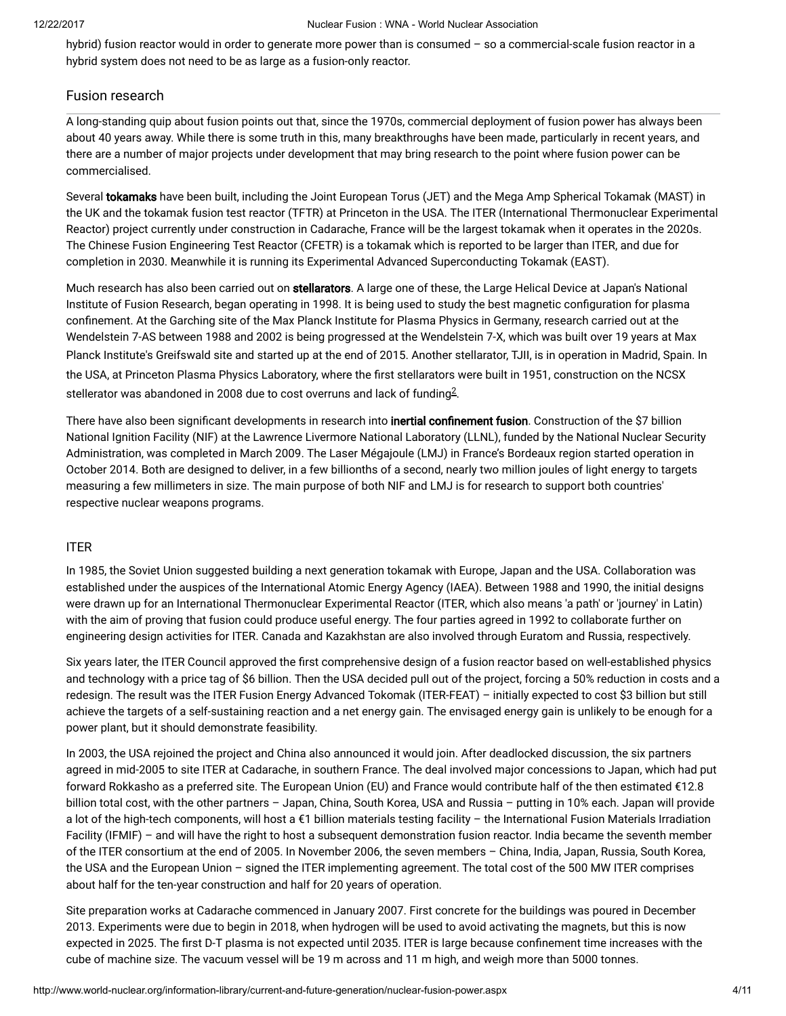hybrid) fusion reactor would in order to generate more power than is consumed – so a commercial-scale fusion reactor in a hybrid system does not need to be as large as a fusion-only reactor.

# Fusion research

A long-standing quip about fusion points out that, since the 1970s, commercial deployment of fusion power has always been about 40 years away. While there is some truth in this, many breakthroughs have been made, particularly in recent years, and there are a number of major projects under development that may bring research to the point where fusion power can be commercialised.

Several tokamaks have been built, including the Joint European Torus (JET) and the Mega Amp Spherical Tokamak (MAST) in the UK and the tokamak fusion test reactor (TFTR) at Princeton in the USA. The ITER (International Thermonuclear Experimental Reactor) project currently under construction in Cadarache, France will be the largest tokamak when it operates in the 2020s. The Chinese Fusion Engineering Test Reactor (CFETR) is a tokamak which is reported to be larger than ITER, and due for completion in 2030. Meanwhile it is running its Experimental Advanced Superconducting Tokamak (EAST).

Much research has also been carried out on stellarators. A large one of these, the Large Helical Device at Japan's National Institute of Fusion Research, began operating in 1998. It is being used to study the best magnetic configuration for plasma confinement. At the Garching site of the Max Planck Institute for Plasma Physics in Germany, research carried out at the Wendelstein 7-AS between 1988 and 2002 is being progressed at the Wendelstein 7-X, which was built over 19 years at Max Planck Institute's Greifswald site and started up at the end of 2015. Another stellarator, TJII, is in operation in Madrid, Spain. In the USA, at Princeton Plasma Physics Laboratory, where the first stellarators were built in 1951, construction on the NCSX stellerator was abandoned in [2](#page-9-0)008 due to cost overruns and lack of funding $^{2}$ .

<span id="page-3-0"></span>There have also been significant developments in research into inertial confinement fusion. Construction of the \$7 billion National Ignition Facility (NIF) at the Lawrence Livermore National Laboratory (LLNL), funded by the National Nuclear Security Administration, was completed in March 2009. The Laser Mégajoule (LMJ) in France's Bordeaux region started operation in October 2014. Both are designed to deliver, in a few billionths of a second, nearly two million joules of light energy to targets measuring a few millimeters in size. The main purpose of both NIF and LMJ is for research to support both countries' respective nuclear weapons programs.

#### ITER

In 1985, the Soviet Union suggested building a next generation tokamak with Europe, Japan and the USA. Collaboration was established under the auspices of the International Atomic Energy Agency (IAEA). Between 1988 and 1990, the initial designs were drawn up for an International Thermonuclear Experimental Reactor (ITER, which also means 'a path' or 'journey' in Latin) with the aim of proving that fusion could produce useful energy. The four parties agreed in 1992 to collaborate further on engineering design activities for ITER. Canada and Kazakhstan are also involved through Euratom and Russia, respectively.

Six years later, the ITER Council approved the first comprehensive design of a fusion reactor based on well-established physics and technology with a price tag of \$6 billion. Then the USA decided pull out of the project, forcing a 50% reduction in costs and a redesign. The result was the ITER Fusion Energy Advanced Tokomak (ITER-FEAT) – initially expected to cost \$3 billion but still achieve the targets of a self-sustaining reaction and a net energy gain. The envisaged energy gain is unlikely to be enough for a power plant, but it should demonstrate feasibility.

In 2003, the USA rejoined the project and China also announced it would join. After deadlocked discussion, the six partners agreed in mid-2005 to site ITER at Cadarache, in southern France. The deal involved major concessions to Japan, which had put forward Rokkasho as a preferred site. The European Union (EU) and France would contribute half of the then estimated €12.8 billion total cost, with the other partners – Japan, China, South Korea, USA and Russia – putting in 10% each. Japan will provide a lot of the high-tech components, will host a €1 billion materials testing facility – the International Fusion Materials Irradiation Facility (IFMIF) – and will have the right to host a subsequent demonstration fusion reactor. India became the seventh member of the ITER consortium at the end of 2005. In November 2006, the seven members – China, India, Japan, Russia, South Korea, the USA and the European Union – signed the ITER implementing agreement. The total cost of the 500 MW ITER comprises about half for the ten-year construction and half for 20 years of operation.

Site preparation works at Cadarache commenced in January 2007. First concrete for the buildings was poured in December 2013. Experiments were due to begin in 2018, when hydrogen will be used to avoid activating the magnets, but this is now expected in 2025. The first D-T plasma is not expected until 2035. ITER is large because confinement time increases with the cube of machine size. The vacuum vessel will be 19 m across and 11 m high, and weigh more than 5000 tonnes.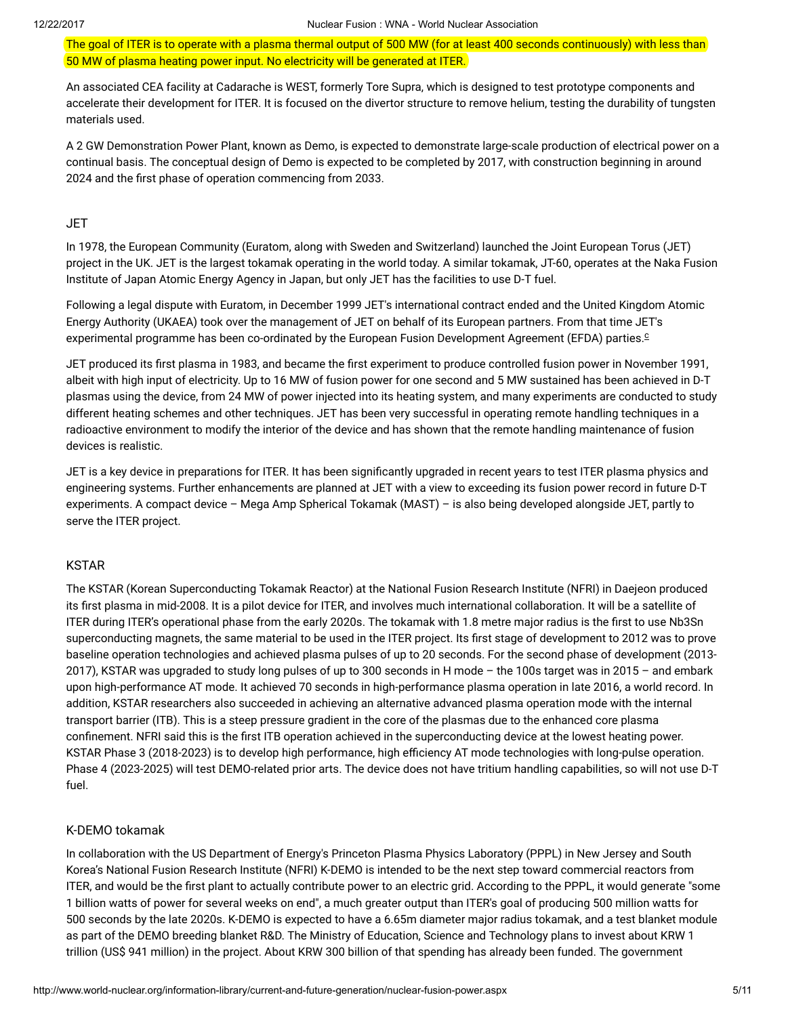The goal of ITER is to operate with a plasma thermal output of 500 MW (for at least 400 seconds continuously) with less than 50 MW of plasma heating power input. No electricity will be generated at ITER.

An associated CEA facility at Cadarache is WEST, formerly Tore Supra, which is designed to test prototype components and accelerate their development for ITER. It is focused on the divertor structure to remove helium, testing the durability of tungsten materials used.

A 2 GW Demonstration Power Plant, known as Demo, is expected to demonstrate large-scale production of electrical power on a continual basis. The conceptual design of Demo is expected to be completed by 2017, with construction beginning in around 2024 and the first phase of operation commencing from 2033.

#### **JET**

In 1978, the European Community (Euratom, along with Sweden and Switzerland) launched the Joint European Torus (JET) project in the UK. JET is the largest tokamak operating in the world today. A similar tokamak, JT-60, operates at the Naka Fusion Institute of Japan Atomic Energy Agency in Japan, but only JET has the facilities to use D-T fuel.

Following a legal dispute with Euratom, in December 1999 JET's international contract ended and the United Kingdom Atomic Energy Authority (UKAEA) took over the management of JET on behalf of its European partners. From that time JET's experimental programme has been co-ordinated by the European Fusion Development Agreement (EFDA) parties. [c](#page-8-0)

<span id="page-4-0"></span>JET produced its first plasma in 1983, and became the first experiment to produce controlled fusion power in November 1991, albeit with high input of electricity. Up to 16 MW of fusion power for one second and 5 MW sustained has been achieved in D-T plasmas using the device, from 24 MW of power injected into its heating system, and many experiments are conducted to study different heating schemes and other techniques. JET has been very successful in operating remote handling techniques in a radioactive environment to modify the interior of the device and has shown that the remote handling maintenance of fusion devices is realistic.

JET is a key device in preparations for ITER. It has been significantly upgraded in recent years to test ITER plasma physics and engineering systems. Further enhancements are planned at JET with a view to exceeding its fusion power record in future D-T experiments. A compact device – Mega Amp Spherical Tokamak (MAST) – is also being developed alongside JET, partly to serve the ITER project.

#### KSTAR

The KSTAR (Korean Superconducting Tokamak Reactor) at the National Fusion Research Institute (NFRI) in Daejeon produced its first plasma in mid-2008. It is a pilot device for ITER, and involves much international collaboration. It will be a satellite of ITER during ITER's operational phase from the early 2020s. The tokamak with 1.8 metre major radius is the first to use Nb3Sn superconducting magnets, the same material to be used in the ITER project. Its first stage of development to 2012 was to prove baseline operation technologies and achieved plasma pulses of up to 20 seconds. For the second phase of development (2013- 2017), KSTAR was upgraded to study long pulses of up to 300 seconds in H mode – the 100s target was in 2015 – and embark upon high-performance AT mode. It achieved 70 seconds in high-performance plasma operation in late 2016, a world record. In addition, KSTAR researchers also succeeded in achieving an alternative advanced plasma operation mode with the internal transport barrier (ITB). This is a steep pressure gradient in the core of the plasmas due to the enhanced core plasma confinement. NFRI said this is the first ITB operation achieved in the superconducting device at the lowest heating power. KSTAR Phase 3 (2018-2023) is to develop high performance, high efficiency AT mode technologies with long-pulse operation. Phase 4 (2023-2025) will test DEMO-related prior arts. The device does not have tritium handling capabilities, so will not use D-T fuel.

#### K-DEMO tokamak

In collaboration with the US Department of Energy's Princeton Plasma Physics Laboratory (PPPL) in New Jersey and South Korea's National Fusion Research Institute (NFRI) K-DEMO is intended to be the next step toward commercial reactors from ITER, and would be the first plant to actually contribute power to an electric grid. According to the PPPL, it would generate "some 1 billion watts of power for several weeks on end", a much greater output than ITER's goal of producing 500 million watts for 500 seconds by the late 2020s. K-DEMO is expected to have a 6.65m diameter major radius tokamak, and a test blanket module as part of the DEMO breeding blanket R&D. The Ministry of Education, Science and Technology plans to invest about KRW 1 trillion (US\$ 941 million) in the project. About KRW 300 billion of that spending has already been funded. The government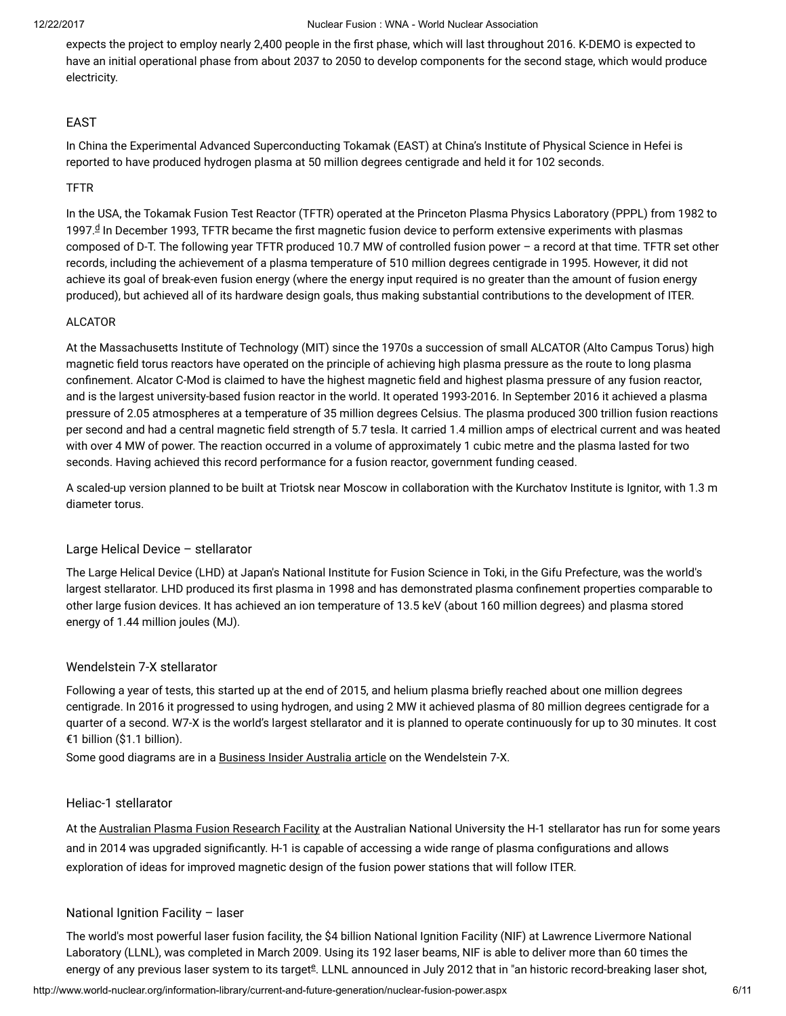expects the project to employ nearly 2,400 people in the first phase, which will last throughout 2016. K-DEMO is expected to have an initial operational phase from about 2037 to 2050 to develop components for the second stage, which would produce electricity.

# EAST

In China the Experimental Advanced Superconducting Tokamak (EAST) at China's Institute of Physical Science in Hefei is reported to have produced hydrogen plasma at 50 million degrees centigrade and held it for 102 seconds.

#### TFTR

<span id="page-5-0"></span>In the USA, the Tokamak Fusion Test Reactor (TFTR) operated at the Princeton Plasma Physics Laboratory (PPPL) from 1982 to 1997.ª In December 1993, TFTR became the first magnetic fusion [d](#page-8-0)evice to perform extensive experiments with plasmas composed of D-T. The following year TFTR produced 10.7 MW of controlled fusion power – a record at that time. TFTR set other records, including the achievement of a plasma temperature of 510 million degrees centigrade in 1995. However, it did not achieve its goal of break-even fusion energy (where the energy input required is no greater than the amount of fusion energy produced), but achieved all of its hardware design goals, thus making substantial contributions to the development of ITER.

# ALCATOR

At the Massachusetts Institute of Technology (MIT) since the 1970s a succession of small ALCATOR (Alto Campus Torus) high magnetic field torus reactors have operated on the principle of achieving high plasma pressure as the route to long plasma confinement. Alcator C-Mod is claimed to have the highest magnetic field and highest plasma pressure of any fusion reactor, and is the largest university-based fusion reactor in the world. It operated 1993-2016. In September 2016 it achieved a plasma pressure of 2.05 atmospheres at a temperature of 35 million degrees Celsius. The plasma produced 300 trillion fusion reactions per second and had a central magnetic field strength of 5.7 tesla. It carried 1.4 million amps of electrical current and was heated with over 4 MW of power. The reaction occurred in a volume of approximately 1 cubic metre and the plasma lasted for two seconds. Having achieved this record performance for a fusion reactor, government funding ceased.

A scaled-up version planned to be built at Triotsk near Moscow in collaboration with the Kurchatov Institute is Ignitor, with 1.3 m diameter torus.

# Large Helical Device – stellarator

The Large Helical Device (LHD) at Japan's National Institute for Fusion Science in Toki, in the Gifu Prefecture, was the world's largest stellarator. LHD produced its first plasma in 1998 and has demonstrated plasma confinement properties comparable to other large fusion devices. It has achieved an ion temperature of 13.5 keV (about 160 million degrees) and plasma stored energy of 1.44 million joules (MJ).

# Wendelstein 7-X stellarator

Following a year of tests, this started up at the end of 2015, and helium plasma briefly reached about one million degrees centigrade. In 2016 it progressed to using hydrogen, and using 2 MW it achieved plasma of 80 million degrees centigrade for a quarter of a second. W7-X is the world's largest stellarator and it is planned to operate continuously for up to 30 minutes. It cost €1 billion (\$1.1 billion).

Some good diagrams are in a [Business](http://www.businessinsider.com.au/germany-is-turning-on-its-monster-stellarator-2015-10) Insider Australia article on the Wendelstein 7-X.

# Heliac-1 stellarator

At the [Australian](http://apfrf.anu.edu.au/) Plasma Fusion Research Facility at the Australian National University the H-1 stellarator has run for some years and in 2014 was upgraded significantly. H-1 is capable of accessing a wide range of plasma configurations and allows exploration of ideas for improved magnetic design of the fusion power stations that will follow ITER.

# National Ignition Facility – laser

<span id="page-5-1"></span>The world's most powerful laser fusion facility, the \$4 billion National Ignition Facility (NIF) at Lawrence Livermore National Laboratory (LLNL), was completed in March 2009. Using its 192 laser beams, NIF is able to deliver more than 60 times the [e](#page-8-0)nergy of any previous laser system to its target<sup>g</sup>. LLNL announced in July 2012 that in "an historic record-breaking laser shot,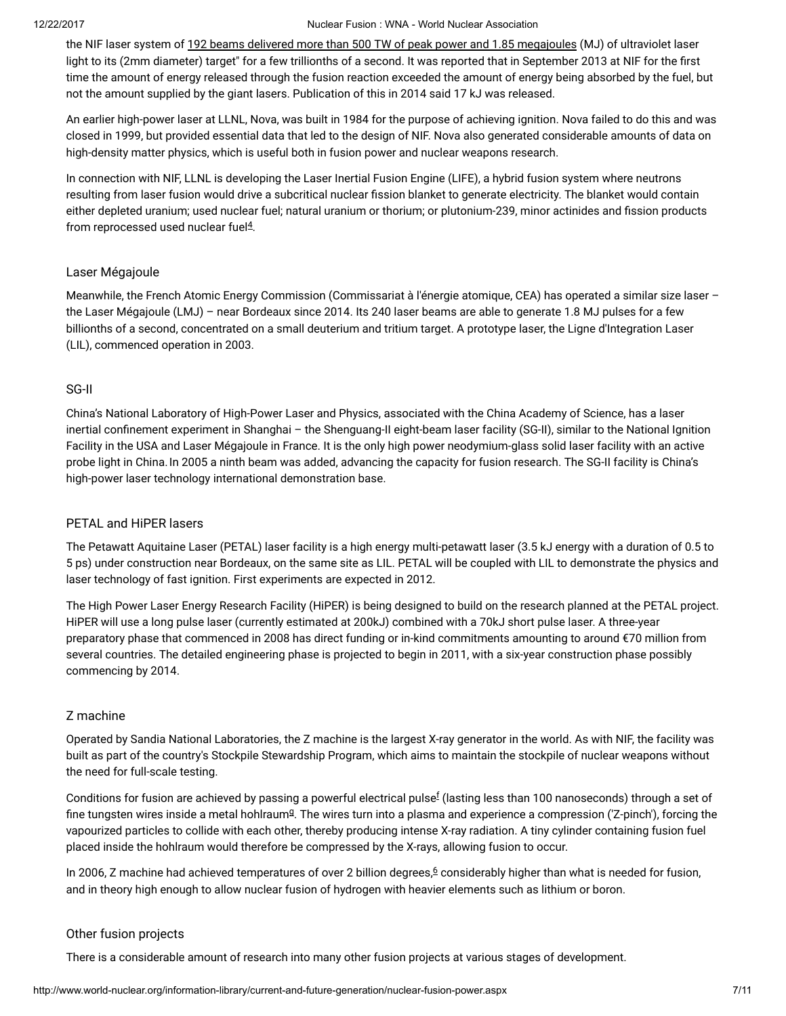the NIF laser system of 192 beams delivered more than 500 TW of peak power and 1.85 [megajoules](https://www.llnl.gov/news/newsreleases/2012/Jul/NR-12-07-01.html) (MJ) of ultraviolet laser light to its (2mm diameter) target" for a few trillionths of a second. It was reported that in September 2013 at NIF for the first time the amount of energy released through the fusion reaction exceeded the amount of energy being absorbed by the fuel, but not the amount supplied by the giant lasers. Publication of this in 2014 said 17 kJ was released.

An earlier high-power laser at LLNL, Nova, was built in 1984 for the purpose of achieving ignition. Nova failed to do this and was closed in 1999, but provided essential data that led to the design of NIF. Nova also generated considerable amounts of data on high-density matter physics, which is useful both in fusion power and nuclear weapons research.

In connection with NIF, LLNL is developing the Laser Inertial Fusion Engine (LIFE), a hybrid fusion system where neutrons resulting from laser fusion would drive a subcritical nuclear fission blanket to generate electricity. The blanket would contain either depleted uranium; used nuclear fuel; natural uranium or thorium; or plutonium-239, minor actinides and fission products from reprocessed used nuclear fuel $4$ .

# <span id="page-6-2"></span>Laser Mégajoule

Meanwhile, the French Atomic Energy Commission (Commissariat à l'énergie atomique, CEA) has operated a similar size laser the Laser Mégajoule (LMJ) – near Bordeaux since 2014. Its 240 laser beams are able to generate 1.8 MJ pulses for a few billionths of a second, concentrated on a small deuterium and tritium target. A prototype laser, the Ligne d'Integration Laser (LIL), commenced operation in 2003.

#### SG-II

China's National Laboratory of High-Power Laser and Physics, associated with the China Academy of Science, has a laser inertial confinement experiment in Shanghai – the Shenguang-II eight-beam laser facility (SG-II), similar to the National Ignition Facility in the USA and Laser Mégajoule in France. It is the only high power neodymium-glass solid laser facility with an active probe light in China.In 2005 a ninth beam was added, advancing the capacity for fusion research. The SG-II facility is China's high-power laser technology international demonstration base.

# PETAL and HiPER lasers

The Petawatt Aquitaine Laser (PETAL) laser facility is a high energy multi-petawatt laser (3.5 kJ energy with a duration of 0.5 to 5 ps) under construction near Bordeaux, on the same site as LIL. PETAL will be coupled with LIL to demonstrate the physics and laser technology of fast ignition. First experiments are expected in 2012.

The High Power Laser Energy Research Facility (HiPER) is being designed to build on the research planned at the PETAL project. HiPER will use a long pulse laser (currently estimated at 200kJ) combined with a 70kJ short pulse laser. A three-year preparatory phase that commenced in 2008 has direct funding or in-kind commitments amounting to around €70 million from several countries. The detailed engineering phase is projected to begin in 2011, with a six-year construction phase possibly commencing by 2014.

# Z machine

Operated by Sandia National Laboratories, the Z machine is the largest X-ray generator in the world. As with NIF, the facility was built as part of the country's Stockpile Stewardship Program, which aims to maintain the stockpile of nuclear weapons without the need for full-scale testing.

<span id="page-6-1"></span><span id="page-6-0"></span>Conditions [f](#page-8-0)or fusion are achieved by passing a powerful electrical pulse $^{\rm f}$  (lasting less than 100 nanoseconds) through a set of fine tun[g](#page-8-0)sten wires inside a metal hohlraum $9$ . The wires turn into a plasma and experience a compression ('Z-pinch'), forcing the vapourized particles to collide with each other, thereby producing intense X-ray radiation. A tiny cylinder containing fusion fuel placed inside the hohlraum would therefore be compressed by the X-rays, allowing fusion to occur.

<span id="page-6-3"></span>In 200[6](#page-9-0), Z machine had achieved temperatures of over 2 billion degrees, $6$  considerably higher than what is needed for fusion, and in theory high enough to allow nuclear fusion of hydrogen with heavier elements such as lithium or boron.

#### Other fusion projects

There is a considerable amount of research into many other fusion projects at various stages of development.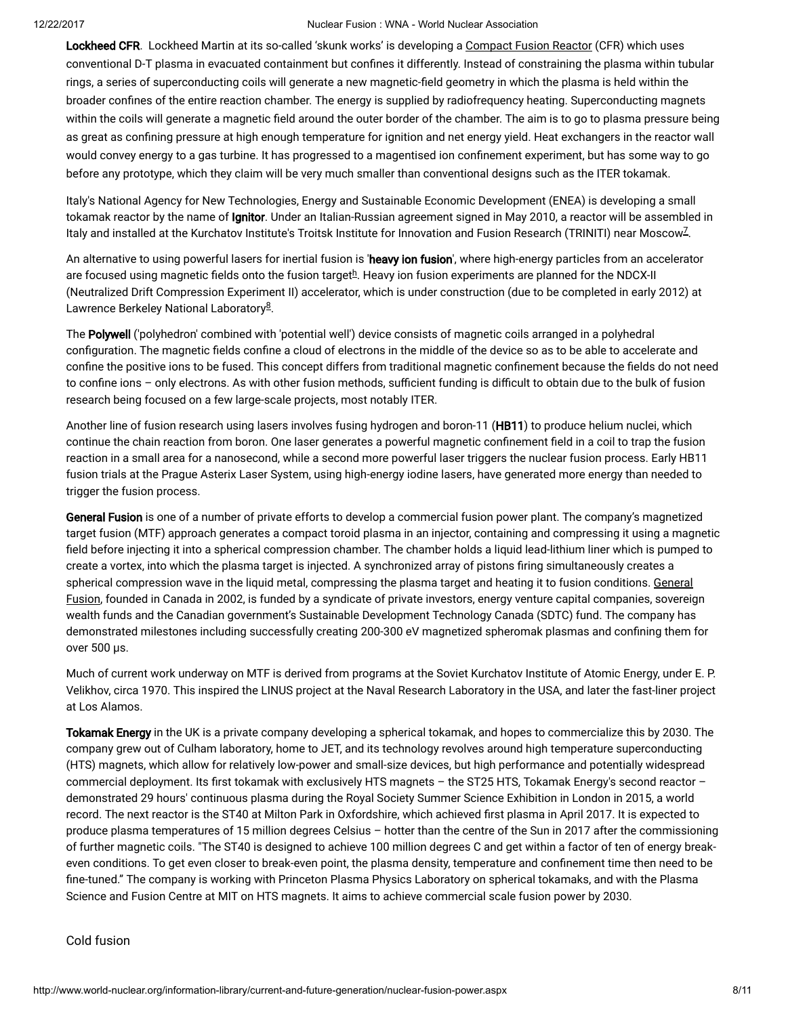Lockheed CFR. Lockheed Martin at its so-called 'skunk works' is developing a [Compact](http://www.lockheedmartin.com/us/products/compact-fusion.html) Fusion Reactor (CFR) which uses conventional D-T plasma in evacuated containment but confines it differently. Instead of constraining the plasma within tubular rings, a series of superconducting coils will generate a new magnetic-field geometry in which the plasma is held within the broader confines of the entire reaction chamber. The energy is supplied by radiofrequency heating. Superconducting magnets within the coils will generate a magnetic field around the outer border of the chamber. The aim is to go to plasma pressure being as great as confining pressure at high enough temperature for ignition and net energy yield. Heat exchangers in the reactor wall would convey energy to a gas turbine. It has progressed to a magentised ion confinement experiment, but has some way to go before any prototype, which they claim will be very much smaller than conventional designs such as the ITER tokamak.

Italy's National Agency for New Technologies, Energy and Sustainable Economic Development (ENEA) is developing a small tokamak reactor by the name of Ignitor. Under an Italian-Russian agreement signed in May 2010, a reactor will be assembled in ltaly and installed at the Kurchatov Institute's Troitsk Institute for Innovation and Fusion Research (TRINITI) near Moscow<sup>[7](#page-9-0)</sup>.

<span id="page-7-1"></span><span id="page-7-0"></span>An alternative to using powerful lasers for inertial fusion is 'heavy ion fusion', where high-energy particles from an accelerator are focused using magnetic fields onto t[h](#page-8-0)e fusion target $^{\underline{h}}$ . Heavy ion fusion experiments are planned for the NDCX-II (Neutralized Drift Compression Experiment II) accelerator, which is under construction (due to be completed in early 2012) at Lawrence Berkeley National Laboratory<sup>[8](#page-9-0)</sup>.

<span id="page-7-2"></span>The Polywell ('polyhedron' combined with 'potential well') device consists of magnetic coils arranged in a polyhedral configuration. The magnetic fields confine a cloud of electrons in the middle of the device so as to be able to accelerate and confine the positive ions to be fused. This concept differs from traditional magnetic confinement because the fields do not need to confine ions – only electrons. As with other fusion methods, sufficient funding is difficult to obtain due to the bulk of fusion research being focused on a few large-scale projects, most notably ITER.

Another line of fusion research using lasers involves fusing hydrogen and boron-11 (HB11) to produce helium nuclei, which continue the chain reaction from boron. One laser generates a powerful magnetic confinement field in a coil to trap the fusion reaction in a small area for a nanosecond, while a second more powerful laser triggers the nuclear fusion process. Early HB11 fusion trials at the Prague Asterix Laser System, using high-energy iodine lasers, have generated more energy than needed to trigger the fusion process.

General Fusion is one of a number of private efforts to develop a commercial fusion power plant. The company's magnetized target fusion (MTF) approach generates a compact toroid plasma in an injector, containing and compressing it using a magnetic field before injecting it into a spherical compression chamber. The chamber holds a liquid lead-lithium liner which is pumped to create a vortex, into which the plasma target is injected. A synchronized array of pistons ring simultaneously creates a spherical [compression](http://www.generalfusion.com/) wave in the liquid metal, compressing the plasma target and heating it to fusion conditions. General Fusion, founded in Canada in 2002, is funded by a syndicate of private investors, energy venture capital companies, sovereign wealth funds and the Canadian government's Sustainable Development Technology Canada (SDTC) fund. The company has demonstrated milestones including successfully creating 200-300 eV magnetized spheromak plasmas and confining them for over 500 µs.

Much of current work underway on MTF is derived from programs at the Soviet Kurchatov Institute of Atomic Energy, under E. P. Velikhov, circa 1970. This inspired the LINUS project at the Naval Research Laboratory in the USA, and later the fast-liner project at Los Alamos.

Tokamak Energy in the UK is a private company developing a spherical tokamak, and hopes to commercialize this by 2030. The company grew out of Culham laboratory, home to JET, and its technology revolves around high temperature superconducting (HTS) magnets, which allow for relatively low-power and small-size devices, but high performance and potentially widespread commercial deployment. Its first tokamak with exclusively HTS magnets – the ST25 HTS, Tokamak Energy's second reactor – demonstrated 29 hours' continuous plasma during the Royal Society Summer Science Exhibition in London in 2015, a world record. The next reactor is the ST40 at Milton Park in Oxfordshire, which achieved first plasma in April 2017. It is expected to produce plasma temperatures of 15 million degrees Celsius – hotter than the centre of the Sun in 2017 after the commissioning of further magnetic coils. "The ST40 is designed to achieve 100 million degrees C and get within a factor of ten of energy breakeven conditions. To get even closer to break-even point, the plasma density, temperature and confinement time then need to be fine-tuned." The company is working with Princeton Plasma Physics Laboratory on spherical tokamaks, and with the Plasma Science and Fusion Centre at MIT on HTS magnets. It aims to achieve commercial scale fusion power by 2030.

Cold fusion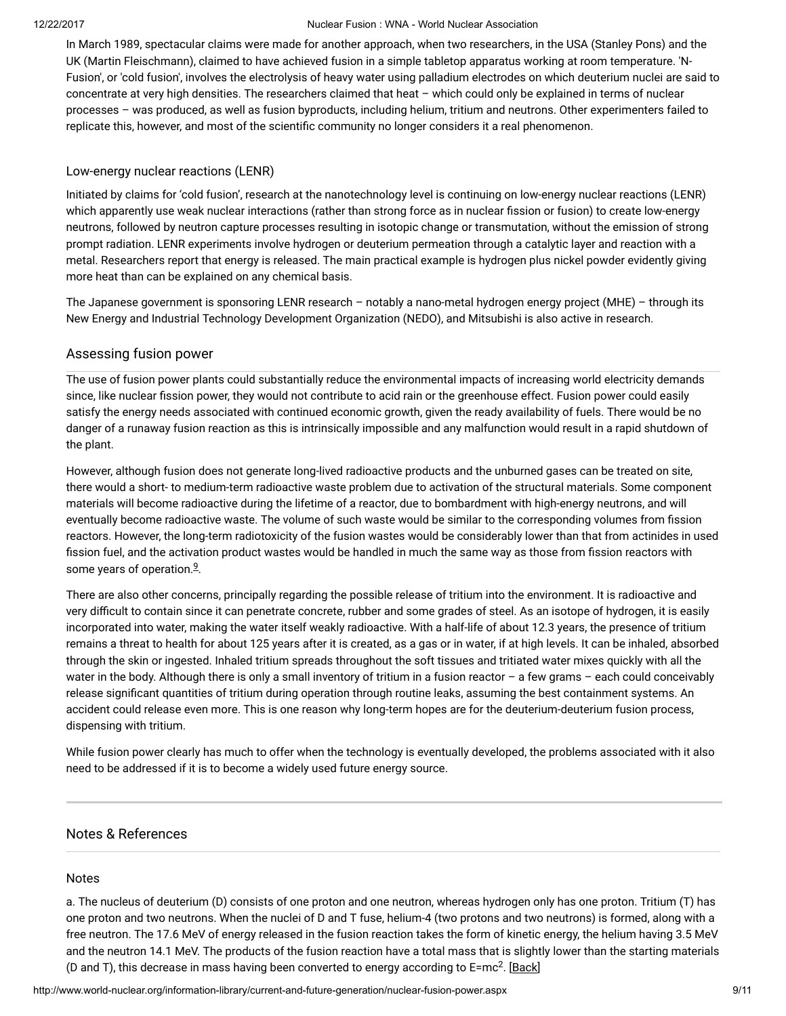In March 1989, spectacular claims were made for another approach, when two researchers, in the USA (Stanley Pons) and the UK (Martin Fleischmann), claimed to have achieved fusion in a simple tabletop apparatus working at room temperature. 'N-Fusion', or 'cold fusion', involves the electrolysis of heavy water using palladium electrodes on which deuterium nuclei are said to concentrate at very high densities. The researchers claimed that heat – which could only be explained in terms of nuclear processes – was produced, as well as fusion byproducts, including helium, tritium and neutrons. Other experimenters failed to replicate this, however, and most of the scientific community no longer considers it a real phenomenon.

#### Low-energy nuclear reactions (LENR)

Initiated by claims for 'cold fusion', research at the nanotechnology level is continuing on low-energy nuclear reactions (LENR) which apparently use weak nuclear interactions (rather than strong force as in nuclear fission or fusion) to create low-energy neutrons, followed by neutron capture processes resulting in isotopic change or transmutation, without the emission of strong prompt radiation. LENR experiments involve hydrogen or deuterium permeation through a catalytic layer and reaction with a metal. Researchers report that energy is released. The main practical example is hydrogen plus nickel powder evidently giving more heat than can be explained on any chemical basis.

The Japanese government is sponsoring LENR research – notably a nano-metal hydrogen energy project (MHE) – through its New Energy and Industrial Technology Development Organization (NEDO), and Mitsubishi is also active in research.

# Assessing fusion power

The use of fusion power plants could substantially reduce the environmental impacts of increasing world electricity demands since, like nuclear fission power, they would not contribute to acid rain or the greenhouse effect. Fusion power could easily satisfy the energy needs associated with continued economic growth, given the ready availability of fuels. There would be no danger of a runaway fusion reaction as this is intrinsically impossible and any malfunction would result in a rapid shutdown of the plant.

However, although fusion does not generate long-lived radioactive products and the unburned gases can be treated on site, there would a short- to medium-term radioactive waste problem due to activation of the structural materials. Some component materials will become radioactive during the lifetime of a reactor, due to bombardment with high-energy neutrons, and will eventually become radioactive waste. The volume of such waste would be similar to the corresponding volumes from fission reactors. However, the long-term radiotoxicity of the fusion wastes would be considerably lower than that from actinides in used fission fuel, and the activation product wastes would be handled in much the same way as those from fission reactors with some years of operation.<sup>[9](#page-9-0)</sup>.

<span id="page-8-1"></span>There are also other concerns, principally regarding the possible release of tritium into the environment. It is radioactive and very difficult to contain since it can penetrate concrete, rubber and some grades of steel. As an isotope of hydrogen, it is easily incorporated into water, making the water itself weakly radioactive. With a half-life of about 12.3 years, the presence of tritium remains a threat to health for about 125 years after it is created, as a gas or in water, if at high levels. It can be inhaled, absorbed through the skin or ingested. Inhaled tritium spreads throughout the soft tissues and tritiated water mixes quickly with all the water in the body. Although there is only a small inventory of tritium in a fusion reactor – a few grams – each could conceivably release significant quantities of tritium during operation through routine leaks, assuming the best containment systems. An accident could release even more. This is one reason why long-term hopes are for the deuterium-deuterium fusion process, dispensing with tritium.

While fusion power clearly has much to offer when the technology is eventually developed, the problems associated with it also need to be addressed if it is to become a widely used future energy source.

# Notes & References

#### <span id="page-8-0"></span>Notes

a. The nucleus of deuterium (D) consists of one proton and one neutron, whereas hydrogen only has one proton. Tritium (T) has one proton and two neutrons. When the nuclei of D and T fuse, helium-4 (two protons and two neutrons) is formed, along with a free neutron. The 17.6 MeV of energy released in the fusion reaction takes the form of kinetic energy, the helium having 3.5 MeV and the neutron 14.1 MeV. The products of the fusion reaction have a total mass that is slightly lower than the starting materials (D and T), this decrease in mass having been converted to energy according to E=mc<sup>2</sup>. [\[Back\]](#page-0-0)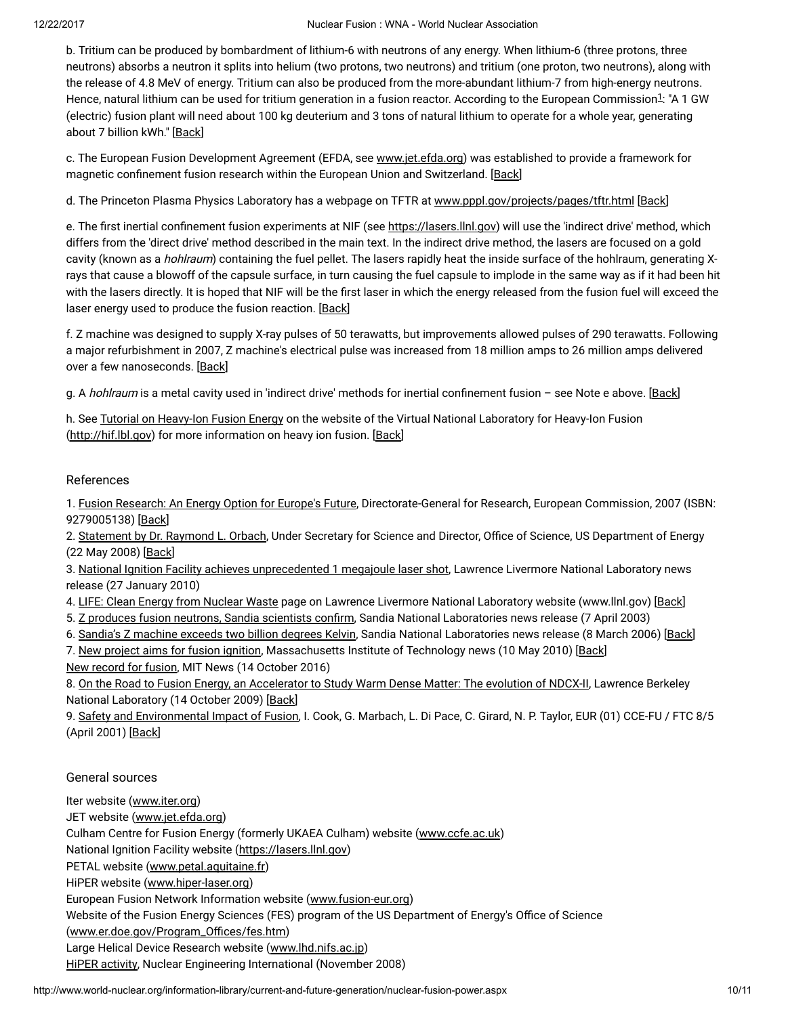<span id="page-9-1"></span>b. Tritium can be produced by bombardment of lithium-6 with neutrons of any energy. When lithium-6 (three protons, three neutrons) absorbs a neutron it splits into helium (two protons, two neutrons) and tritium (one proton, two neutrons), along with the release of 4.8 MeV of energy. Tritium can also be produced from the more-abundant lithium-7 from high-energy neutrons. Hence, natural lithium can be used for tritium generation in a fusion reactor. According to the European Commission<sup>[1](#page-9-0)</sup>: "A 1 GW (electric) fusion plant will need about 100 kg deuterium and 3 tons of natural lithium to operate for a whole year, generating about 7 billion kWh." [[Back](#page-0-1)]

c. The European Fusion Development Agreement (EFDA, see [www.jet.efda.org](http://www.jet.efda.org/efda/)) was established to provide a framework for magnetic confinement fusion research within the European Union and Switzerland. [\[Back\]](#page-4-0)

d. The Princeton Plasma Physics Laboratory has a webpage on TFTR at [www.pppl.gov/projects/pages/tftr.html](http://www.pppl.gov/projects/pages/tftr.html) [\[Back\]](#page-5-0)

e. The first inertial confinement fusion experiments at NIF (see [https://lasers.llnl.gov\)](https://lasers.llnl.gov/) will use the 'indirect drive' method, which differs from the 'direct drive' method described in the main text. In the indirect drive method, the lasers are focused on a gold cavity (known as a *hohlraum*) containing the fuel pellet. The lasers rapidly heat the inside surface of the hohlraum, generating Xrays that cause a blowoff of the capsule surface, in turn causing the fuel capsule to implode in the same way as if it had been hit with the lasers directly. It is hoped that NIF will be the first laser in which the energy released from the fusion fuel will exceed the laser energy used to produce the fusion reaction. [[Back](#page-5-1)]

f. Z machine was designed to supply X-ray pulses of 50 terawatts, but improvements allowed pulses of 290 terawatts. Following a major refurbishment in 2007, Z machine's electrical pulse was increased from 18 million amps to 26 million amps delivered over a few nanoseconds. [[Back](#page-6-0)]

g. A hohlraum is a metal cavity used in 'indirect drive' methods for inertial confinement fusion - see Note e above. [\[Back\]](#page-6-1)

h. See Tutorial on [Heavy-Ion](http://hif.lbl.gov/tutorial/tutorial.html) Fusion Energy on the website of the Virtual National Laboratory for Heavy-Ion Fusion [\(http://hif.lbl.gov\)](http://hif.lbl.gov/) for more information on heavy ion fusion. [[Back](#page-7-0)]

# <span id="page-9-0"></span>References

1. Fusion [Research:](http://ec.europa.eu/research/energy/pdf/92-79-00513-8_en.pdf) An Energy Option for Europe's Future, Directorate-General for Research, European Commission, 2007 (ISBN: 9279005138) [[Back\]](#page-9-1)

2. [Statement](http://ncsx.pppl.gov/DOE_NCSX_052208.pdf) by Dr. Raymond L. Orbach, Under Secretary for Science and Director, Office of Science, US Department of Energy (22 May 2008) [\[Back\]](#page-3-0)

3. National Ignition Facility achieves [unprecedented](https://publicaffairs.llnl.gov/news/news_releases/2010/nnsa/NR-NNSA-10-01-02.html) 1 megajoule laser shot, Lawrence Livermore National Laboratory news release (27 January 2010)

4. LIFE: Clean Energy from [Nuclear](https://lasers.llnl.gov/about/missions/energy_for_the_future/life/index.php) Waste page on Lawrence Livermore National Laboratory website (www.llnl.gov) [\[Back\]](#page-6-2)

5. Z produces fusion neutrons, Sandia [scientists](http://www.sandia.gov/news-center/news-releases/2003/nuclear-power/Zneutrons.html) confirm, Sandia National Laboratories news release (7 April 2003)

6. Sandia's Z [machine](http://www.sandia.gov/news-center/news-releases/2006/physics-astron/hottest-z-output.html) exceeds two billion degrees Kelvin, Sandia National Laboratories news release (8 March 2006) [[Back\]](#page-6-3)

7. New project aims for fusion [ignition,](http://web.mit.edu/newsoffice/2010/fusion-ignition-0510.html) Massachusetts Institute of Technology news (10 May 2010) [[Back\]](#page-7-1)

New [record](http://news.mit.edu/2016/alcator-c-mod-tokamak-nuclear-fusion-world-record-1014) for fusion, MIT News (14 October 2016)

8. On the Road to Fusion Energy, an [Accelerator](http://newscenter.lbl.gov/feature-stories/2009/10/14/warm-dense-matter/) to Study Warm Dense Matter: The evolution of NDCX-II, Lawrence Berkeley National Laboratory (14 October 2009) [[Back\]](#page-7-2)

9. Safety and [Environmental](http://www.efda.org/eu_fusion_programme/downloads/scientific_and_technical_publications/SEIF_report_25Apr01.pdf) Impact of Fusion, I. Cook, G. Marbach, L. Di Pace, C. Girard, N. P. Taylor, EUR (01) CCE-FU / FTC 8/5 (April 2001) [\[Back\]](#page-8-1)

# General sources

Iter website [\(www.iter.org\)](http://www.iter.org/default.aspx)

JET website ([www.jet.efda.org](http://www.jet.efda.org/))

Culham Centre for Fusion Energy (formerly UKAEA Culham) website ([www.ccfe.ac.uk\)](http://www.ccfe.ac.uk/)

National Ignition Facility website [\(https://lasers.llnl.gov](https://lasers.llnl.gov/))

PETAL website ([www.petal.aquitaine.fr\)](http://www.petal.aquitaine.fr/spip.php?lang=en)

HiPER website [\(www.hiper-laser.org](http://www.hiper-laser.org/))

European Fusion Network Information website ([www.fusion-eur.org](http://www.fusion-eur.org/))

Website of the Fusion Energy Sciences (FES) program of the US Department of Energy's Office of Science

(www.er.doe.gov/Program\_Offices/fes.htm)

Large Helical Device Research website [\(www.lhd.nifs.ac.jp\)](http://www.lhd.nifs.ac.jp/en/)

HiPER [activity](http://www.neimagazine.com/story.asp?storyCode=2051538), Nuclear Engineering International (November 2008)